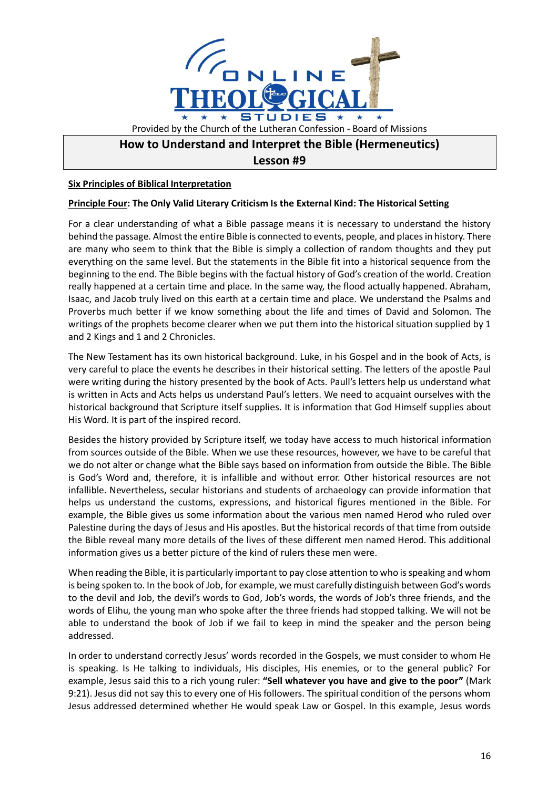

## **How to Understand and Interpret the Bible (Hermeneutics)**

**Lesson #9**

## **Six Principles of Biblical Interpretation**

## **Principle Four: The Only Valid Literary Criticism Is the External Kind: The Historical Setting**

For a clear understanding of what a Bible passage means it is necessary to understand the history behind the passage. Almost the entire Bible is connected to events, people, and places in history. There are many who seem to think that the Bible is simply a collection of random thoughts and they put everything on the same level. But the statements in the Bible fit into a historical sequence from the beginning to the end. The Bible begins with the factual history of God's creation of the world. Creation really happened at a certain time and place. In the same way, the flood actually happened. Abraham, Isaac, and Jacob truly lived on this earth at a certain time and place. We understand the Psalms and Proverbs much better if we know something about the life and times of David and Solomon. The writings of the prophets become clearer when we put them into the historical situation supplied by 1 and 2 Kings and 1 and 2 Chronicles.

The New Testament has its own historical background. Luke, in his Gospel and in the book of Acts, is very careful to place the events he describes in their historical setting. The letters of the apostle Paul were writing during the history presented by the book of Acts. Paull's letters help us understand what is written in Acts and Acts helps us understand Paul's letters. We need to acquaint ourselves with the historical background that Scripture itself supplies. It is information that God Himself supplies about His Word. It is part of the inspired record.

Besides the history provided by Scripture itself, we today have access to much historical information from sources outside of the Bible. When we use these resources, however, we have to be careful that we do not alter or change what the Bible says based on information from outside the Bible. The Bible is God's Word and, therefore, it is infallible and without error. Other historical resources are not infallible. Nevertheless, secular historians and students of archaeology can provide information that helps us understand the customs, expressions, and historical figures mentioned in the Bible. For example, the Bible gives us some information about the various men named Herod who ruled over Palestine during the days of Jesus and His apostles. But the historical records of that time from outside the Bible reveal many more details of the lives of these different men named Herod. This additional information gives us a better picture of the kind of rulers these men were.

When reading the Bible, it is particularly important to pay close attention to who is speaking and whom is being spoken to. In the book of Job, for example, we must carefully distinguish between God's words to the devil and Job, the devil's words to God, Job's words, the words of Job's three friends, and the words of Elihu, the young man who spoke after the three friends had stopped talking. We will not be able to understand the book of Job if we fail to keep in mind the speaker and the person being addressed.

In order to understand correctly Jesus' words recorded in the Gospels, we must consider to whom He is speaking. Is He talking to individuals, His disciples, His enemies, or to the general public? For example, Jesus said this to a rich young ruler: **"Sell whatever you have and give to the poor"** (Mark 9:21). Jesus did not say this to every one of His followers. The spiritual condition of the persons whom Jesus addressed determined whether He would speak Law or Gospel. In this example, Jesus words